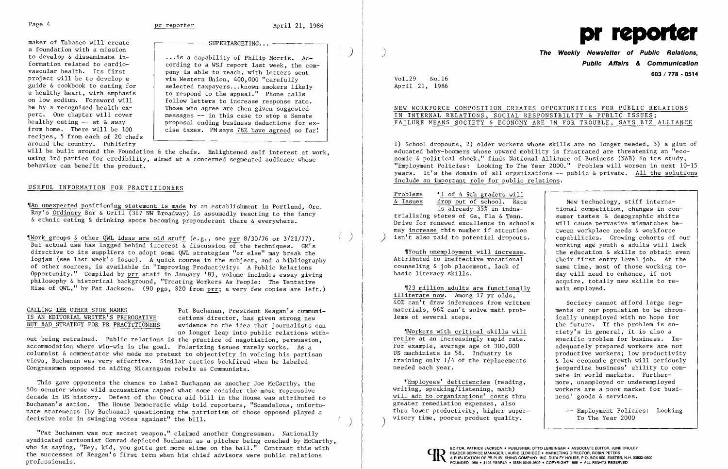Page 4 **pr reporter pr reporter** April 21, 1986

maker of Tabasco will create a foundation with a mission<br>to develop & disseminate ina foundation with a mission<br>to develop & disseminate in-  $\begin{vmatrix} \cdot & \cdot & \cdot & \cdot \\ \cdot & \cdot & \cdot & \cdot & \cdot \\ \cdot & \cdot & \cdot & \cdot & \cdot \end{vmatrix}$  ...is a capability of Philip Morris. Acformation related to cardio vascular health. Its first project will be to develop a guide & cookbook to eating for a healthy heart, with emphasis on low sodium. Foreword will be by a recognized health ex pert. One chapter will cover healthy eating  $-$  at & away from home. There will be 100 recipes, 5 from each of 20 chefs around the country. Publicity

- SUPERTARGETING...

- | cording to a WSJ report last week, the company is able to reach, with letters sent via Western Union, 400,000 "carefully selected taxpayers... known smokers likely to respond to the appeal." Phone calls j follow letters to increase response rate. Those who agree are then given suggested messages -- in this case to stop a Senate proposal ending business deductions for excise taxes. PM says 78% have agreed so far!

will be built around the Foundation & the chefs. Enlightened self interest at work, using 3rd parties for credibility, aimed at a concerned segmented audience whose behavior can benefit the product.

CALLING THE OTHER SIDE NAMES<br>
IS AN EDITORIAL WRITER'S PREROGATIVE eations director, has given strong new IS AN EDITORIAL WRITER'S PREROGATIVE cations director, has given strong new evidence to the idea that journalists can no longer leap into public relations with-

#### USEFUL INFORMATION FOR PRACTITIONERS

~rAn unexpected positioning statement is made by an establishment in Portland, Ore. Ray's Ordinary Bar & Grill (317 NW Broadway) is assumedly reacting to the fancy & ethnic eating & drinking spots becoming preponderant there & everywhere.

 $~^{\circ}$ Work groups & other QWL ideas are old stuff (e.g., see prr 8/30/76 or 3/21/77). But actual use has lagged behind interest  $\&$  discussion of the techniques. GM's directive to its suppliers to adopt some QWL strategies "or else" may break the logjam (see last week's issue). A quick course in the subject, and a bibliography of other sources, is available in "Improving Productivity: A Public Relations Opportunity." Compiled by prr staff in January '83, volume includes essay giving philosophy & historical background, "Treating Workers As People: The Tentative Rise of QWL," by Pat Jackson. (90 pgs, \$20 from prr; a very few copies are left.)

This gave opponents the chance to label Buchanan as another Joe McCarthy, the 50s senator whose wild accusations capped what some consider the most repressive decade in US history. Defeat of the Contra aid bill in the House was attributed to Buchanan's action. The House Democratic whip told reporters, "Scandalous, unfortunate statements (by Buchanan) questioning the patriotism of those opposed played a decisive role in swinging votes against" the  $\delta$ ill.

out being retrained. Public relations is the practice of negotiation, persuasion, accommodation where win-win is the goal. Polarizing issues rarely works. As a columnist & commentator who made no pretext to objectivity in voicing his partisan views, Buchanan was very effective. Similar tactics backfired when he labeled Congressmen opposed to aiding Nicaraguan rebels as Communists.

Society cannot afford large seg-<br>ments of our population to be chronically unemployed with no hope for the future. If the problem is so ~rWorkers with critical skills will ciety's in general, it is also a specific problem for business. Inproductive workers; low productivity ieopardize business' ability to compete in world markets. Further-<br>more, unemployed or underemployed 'IEmployees' deficiencies (reading, more, unemployed or underemployed

"Pat Buchanan was our secret weapon," claimed another Congressman. Nationally syndicated cartoonist Conrad depicted Buchanan as a pitcher being coached by McCarthy, who is saying, "Hey, kid, you gotta get more slime on the ball." Contrast this with the successes of Reagan's first term when his chief advisors were public relations professionals.



) **The Weekly Newsletter of Public Relations, Public Affairs & Communication 603/ 778 - 0514** 

Vol. 29 No.16 April 21, 1986

# IN INTERNAL RELATIONS, SOCIAL RESPONSIBILITY & PUBLIC ISSUES;

NEW WORKFORCE COMPOSITION CREATES OPPORTUNITIES FOR PUBLIC RELATIONS FAILURE MEANS SOCIETY & ECONOMY ARE IN FOR TROUBLE, SAYS BIZ ALLIANCE

> drop out of school. Rate New technology, stiff interna-<br>is already 35% in indus-<br>tional competition, changes in cor tional competition, changes in con-<br>sumer tastes & demographic shifts working age youth & adults will lack<br>the education & skills to obtain even day will need to enhance, if not acquire, totally new skills to re main employed.

1) School dropouts, 2) older workers whose skills are no longer needed, 3) a glut of educated baby-boomers whose upward mobility is frustrated are threatening an "economic & political shock," finds National Alliance of Business (NAB) in its study, "Employment Policies: Looking To The Year 2000." Problem will worsen in next 10-15 years. It's the domain of all organizations -- public & private. All the solutions include an important role for public relations.

 $rac{\text{Problems}}{\text{& Issues}}$   $rac{\text{10 of 4 9th graders will}}{\text{drop out of school. Rate}}$ trializing states of Ga, Fla & Tenn.<br>Drive for renewed excellence in schools  $\parallel$  will cause pervasive mismatches be-Drive for renewed excellence in schools will cause pervasive mismatches bemay increase this number if attention<br>isn't also paid to potential dropouts.<br>capabilities. Growing cohorts of our  $\overline{\text{isn't also paid to potential dropouts}}$ .

"Youth unemployment will increase.<br>Attributed to ineffective vocational Attributed to ineffective vocational their first entry level job. At the counseling  $\&$  job placement. lack of same time, most of those working tocounseling & job placement, lack of same time, most of those working to-<br>basic literacy skills.<br>day will need to enhance, if not

"[23 million adults are functionally illiterate now. Among 17 yr olds, 40% can't draw inferences from written materials, 66% can't solve math prob-<br>lems of several steps.

Workers with critical skills will<br>retire at an increasingly rapid rate. For example, average age of 300,000 adequately prepared workers are not<br>US machinists is 58. Industry is productive workers: low productivity training only 1/4 of the replacements  $\begin{array}{c|c} \hline \text{is} & \text{is} & \text{is} \\ \hline \text{is} & \text{is} & \text{is} \\ \hline \text{is} & \text{is} & \text{is} \\ \hline \end{array}$  seconomic growth will seriously

writing, speaking/listening, math) workers are a poor market will add to organizations' costs thru hess' goods & services. will add to organizations' costs thru greater remediation expenses, also thru lower productivity, higher super visory time, poorer product quality. To The Year 2000

Employment Policies: Looking